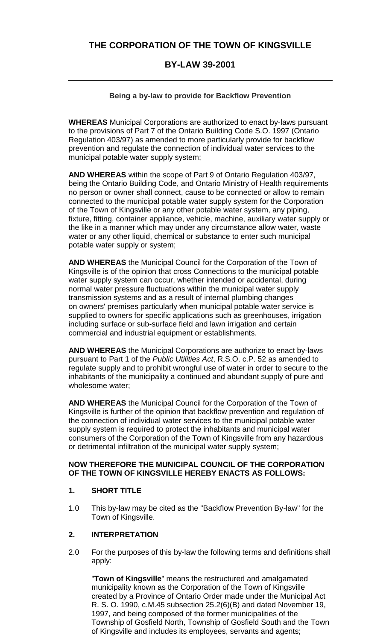# **THE CORPORATION OF THE TOWN OF KINGSVILLE**

## **BY-LAW 39-2001**

### **Being a by-law to provide for Backflow Prevention**

**WHEREAS** Municipal Corporations are authorized to enact by-laws pursuant to the provisions of Part 7 of the Ontario Building Code S.O. 1997 (Ontario Regulation 403/97) as amended to more particularly provide for backflow prevention and regulate the connection of individual water services to the municipal potable water supply system;

**AND WHEREAS** within the scope of Part 9 of Ontario Regulation 403/97, being the Ontario Building Code, and Ontario Ministry of Health requirements no person or owner shall connect, cause to be connected or allow to remain connected to the municipal potable water supply system for the Corporation of the Town of Kingsville or any other potable water system, any piping, fixture, fitting, container appliance, vehicle, machine, auxiliary water supply or the like in a manner which may under any circumstance allow water, waste water or any other liquid, chemical or substance to enter such municipal potable water supply or system;

**AND WHEREAS** the Municipal Council for the Corporation of the Town of Kingsville is of the opinion that cross Connections to the municipal potable water supply system can occur, whether intended or accidental, during normal water pressure fluctuations within the municipal water supply transmission systems and as a result of internal plumbing changes on owners' premises particularly when municipal potable water service is supplied to owners for specific applications such as greenhouses, irrigation including surface or sub-surface field and lawn irrigation and certain commercial and industrial equipment or establishments.

**AND WHEREAS** the Municipal Corporations are authorize to enact by-laws pursuant to Part 1 of the *Public Utilities Act*, R.S.O. c.P. 52 as amended to regulate supply and to prohibit wrongful use of water in order to secure to the inhabitants of the municipality a continued and abundant supply of pure and wholesome water;

**AND WHEREAS** the Municipal Council for the Corporation of the Town of Kingsville is further of the opinion that backflow prevention and regulation of the connection of individual water services to the municipal potable water supply system is required to protect the inhabitants and municipal water consumers of the Corporation of the Town of Kingsville from any hazardous or detrimental infiltration of the municipal water supply system;

### **NOW THEREFORE THE MUNICIPAL COUNCIL OF THE CORPORATION OF THE TOWN OF KINGSVILLE HEREBY ENACTS AS FOLLOWS:**

#### **1. SHORT TITLE**

1.0 This by-law may be cited as the "Backflow Prevention By-law" for the Town of Kingsville.

#### **2. INTERPRETATION**

2.0 For the purposes of this by-law the following terms and definitions shall apply:

"**Town of Kingsville**" means the restructured and amalgamated municipality known as the Corporation of the Town of Kingsville created by a Province of Ontario Order made under the Municipal Act R. S. O. 1990, c.M.45 subsection 25.2(6)(B) and dated November 19, 1997, and being composed of the former municipalities of the Township of Gosfield North, Township of Gosfield South and the Town of Kingsville and includes its employees, servants and agents;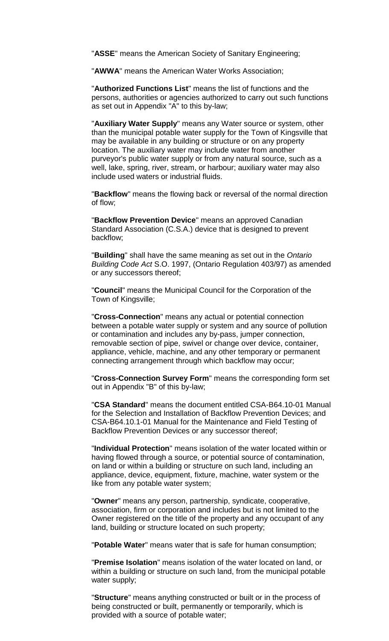"**ASSE**" means the American Society of Sanitary Engineering;

"**AWWA**" means the American Water Works Association;

"**Authorized Functions List**" means the list of functions and the persons, authorities or agencies authorized to carry out such functions as set out in Appendix "A" to this by-law;

"**Auxiliary Water Supply**" means any Water source or system, other than the municipal potable water supply for the Town of Kingsville that may be available in any building or structure or on any property location. The auxiliary water may include water from another purveyor's public water supply or from any natural source, such as a well, lake, spring, river, stream, or harbour; auxiliary water may also include used waters or industrial fluids.

"**Backflow**" means the flowing back or reversal of the normal direction of flow;

"**Backflow Prevention Device**" means an approved Canadian Standard Association (C.S.A.) device that is designed to prevent backflow;

"**Building**" shall have the same meaning as set out in the *Ontario Building Code Act* S.O. 1997, (Ontario Regulation 403/97) as amended or any successors thereof;

"**Council**" means the Municipal Council for the Corporation of the Town of Kingsville;

"**Cross-Connection**" means any actual or potential connection between a potable water supply or system and any source of pollution or contamination and includes any by-pass, jumper connection, removable section of pipe, swivel or change over device, container, appliance, vehicle, machine, and any other temporary or permanent connecting arrangement through which backflow may occur;

"**Cross-Connection Survey Form**" means the corresponding form set out in Appendix "B" of this by-law;

"**CSA Standard**" means the document entitled CSA-B64.10-01 Manual for the Selection and Installation of Backflow Prevention Devices; and CSA-B64.10.1-01 Manual for the Maintenance and Field Testing of Backflow Prevention Devices or any successor thereof;

"**Individual Protection**" means isolation of the water located within or having flowed through a source, or potential source of contamination, on land or within a building or structure on such land, including an appliance, device, equipment, fixture, machine, water system or the like from any potable water system;

"**Owner**" means any person, partnership, syndicate, cooperative, association, firm or corporation and includes but is not limited to the Owner registered on the title of the property and any occupant of any land, building or structure located on such property;

"**Potable Water**" means water that is safe for human consumption;

"**Premise Isolation**" means isolation of the water located on land, or within a building or structure on such land, from the municipal potable water supply;

"**Structure**" means anything constructed or built or in the process of being constructed or built, permanently or temporarily, which is provided with a source of potable water;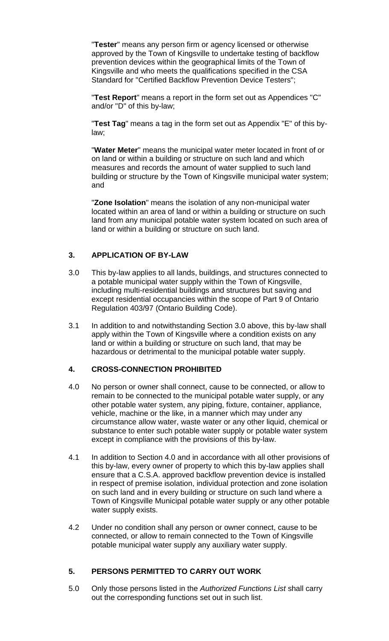"**Tester**" means any person firm or agency licensed or otherwise approved by the Town of Kingsville to undertake testing of backflow prevention devices within the geographical limits of the Town of Kingsville and who meets the qualifications specified in the CSA Standard for "Certified Backflow Prevention Device Testers";

"**Test Report**" means a report in the form set out as Appendices "C" and/or "D" of this by-law;

"**Test Tag**" means a tag in the form set out as Appendix "E" of this bylaw;

"**Water Meter**" means the municipal water meter located in front of or on land or within a building or structure on such land and which measures and records the amount of water supplied to such land building or structure by the Town of Kingsville municipal water system; and

"**Zone Isolation**" means the isolation of any non-municipal water located within an area of land or within a building or structure on such land from any municipal potable water system located on such area of land or within a building or structure on such land.

### **3. APPLICATION OF BY-LAW**

- 3.0 This by-law applies to all lands, buildings, and structures connected to a potable municipal water supply within the Town of Kingsville, including multi-residential buildings and structures but saving and except residential occupancies within the scope of Part 9 of Ontario Regulation 403/97 (Ontario Building Code).
- 3.1 In addition to and notwithstanding Section 3.0 above, this by-law shall apply within the Town of Kingsville where a condition exists on any land or within a building or structure on such land, that may be hazardous or detrimental to the municipal potable water supply.

## **4. CROSS-CONNECTION PROHIBITED**

- 4.0 No person or owner shall connect, cause to be connected, or allow to remain to be connected to the municipal potable water supply, or any other potable water system, any piping, fixture, container, appliance, vehicle, machine or the like, in a manner which may under any circumstance allow water, waste water or any other liquid, chemical or substance to enter such potable water supply or potable water system except in compliance with the provisions of this by-law.
- 4.1 In addition to Section 4.0 and in accordance with all other provisions of this by-law, every owner of property to which this by-law applies shall ensure that a C.S.A. approved backflow prevention device is installed in respect of premise isolation, individual protection and zone isolation on such land and in every building or structure on such land where a Town of Kingsville Municipal potable water supply or any other potable water supply exists.
- 4.2 Under no condition shall any person or owner connect, cause to be connected, or allow to remain connected to the Town of Kingsville potable municipal water supply any auxiliary water supply.

### **5. PERSONS PERMITTED TO CARRY OUT WORK**

5.0 Only those persons listed in the *Authorized Functions List* shall carry out the corresponding functions set out in such list.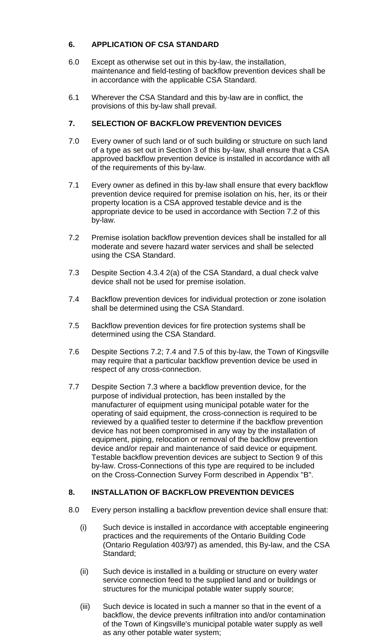## **6. APPLICATION OF CSA STANDARD**

- 6.0 Except as otherwise set out in this by-law, the installation, maintenance and field-testing of backflow prevention devices shall be in accordance with the applicable CSA Standard.
- 6.1 Wherever the CSA Standard and this by-law are in conflict, the provisions of this by-law shall prevail.

## **7. SELECTION OF BACKFLOW PREVENTION DEVICES**

- 7.0 Every owner of such land or of such building or structure on such land of a type as set out in Section 3 of this by-law, shall ensure that a CSA approved backflow prevention device is installed in accordance with all of the requirements of this by-law.
- 7.1 Every owner as defined in this by-law shall ensure that every backflow prevention device required for premise isolation on his, her, its or their property location is a CSA approved testable device and is the appropriate device to be used in accordance with Section 7.2 of this by-law.
- 7.2 Premise isolation backflow prevention devices shall be installed for all moderate and severe hazard water services and shall be selected using the CSA Standard.
- 7.3 Despite Section 4.3.4 2(a) of the CSA Standard, a dual check valve device shall not be used for premise isolation.
- 7.4 Backflow prevention devices for individual protection or zone isolation shall be determined using the CSA Standard.
- 7.5 Backflow prevention devices for fire protection systems shall be determined using the CSA Standard.
- 7.6 Despite Sections 7.2; 7.4 and 7.5 of this by-law, the Town of Kingsville may require that a particular backflow prevention device be used in respect of any cross-connection.
- 7.7 Despite Section 7.3 where a backflow prevention device, for the purpose of individual protection, has been installed by the manufacturer of equipment using municipal potable water for the operating of said equipment, the cross-connection is required to be reviewed by a qualified tester to determine if the backflow prevention device has not been compromised in any way by the installation of equipment, piping, relocation or removal of the backflow prevention device and/or repair and maintenance of said device or equipment. Testable backflow prevention devices are subject to Section 9 of this by-law. Cross-Connections of this type are required to be included on the Cross-Connection Survey Form described in Appendix "B".

### **8. INSTALLATION OF BACKFLOW PREVENTION DEVICES**

- 8.0 Every person installing a backflow prevention device shall ensure that:
	- (i) Such device is installed in accordance with acceptable engineering practices and the requirements of the Ontario Building Code (Ontario Regulation 403/97) as amended, this By-law, and the CSA Standard;
	- (ii) Such device is installed in a building or structure on every water service connection feed to the supplied land and or buildings or structures for the municipal potable water supply source;
	- (iii) Such device is located in such a manner so that in the event of a backflow, the device prevents infiltration into and/or contamination of the Town of Kingsville's municipal potable water supply as well as any other potable water system;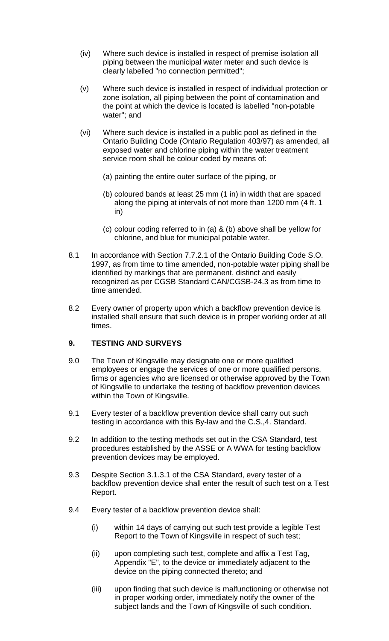- (iv) Where such device is installed in respect of premise isolation all piping between the municipal water meter and such device is clearly labelled "no connection permitted";
- (v) Where such device is installed in respect of individual protection or zone isolation, all piping between the point of contamination and the point at which the device is located is labelled "non-potable water"; and
- (vi) Where such device is installed in a public pool as defined in the Ontario Building Code (Ontario Regulation 403/97) as amended, all exposed water and chlorine piping within the water treatment service room shall be colour coded by means of:
	- (a) painting the entire outer surface of the piping, or
	- (b) coloured bands at least 25 mm (1 in) in width that are spaced along the piping at intervals of not more than 1200 mm (4 ft. 1 in)
	- (c) colour coding referred to in (a) & (b) above shall be yellow for chlorine, and blue for municipal potable water.
- 8.1 In accordance with Section 7.7.2.1 of the Ontario Building Code S.O. 1997, as from time to time amended, non-potable water piping shall be identified by markings that are permanent, distinct and easily recognized as per CGSB Standard CAN/CGSB-24.3 as from time to time amended.
- 8.2 Every owner of property upon which a backflow prevention device is installed shall ensure that such device is in proper working order at all times.

### **9. TESTING AND SURVEYS**

- 9.0 The Town of Kingsville may designate one or more qualified employees or engage the services of one or more qualified persons, firms or agencies who are licensed or otherwise approved by the Town of Kingsville to undertake the testing of backflow prevention devices within the Town of Kingsville.
- 9.1 Every tester of a backflow prevention device shall carry out such testing in accordance with this By-law and the C.S.,4. Standard.
- 9.2 In addition to the testing methods set out in the CSA Standard, test procedures established by the ASSE or A WWA for testing backflow prevention devices may be employed.
- 9.3 Despite Section 3.1.3.1 of the CSA Standard, every tester of a backflow prevention device shall enter the result of such test on a Test Report.
- 9.4 Every tester of a backflow prevention device shall:
	- (i) within 14 days of carrying out such test provide a legible Test Report to the Town of Kingsville in respect of such test;
	- (ii) upon completing such test, complete and affix a Test Tag, Appendix "E", to the device or immediately adjacent to the device on the piping connected thereto; and
	- (iii) upon finding that such device is malfunctioning or otherwise not in proper working order, immediately notify the owner of the subject lands and the Town of Kingsville of such condition.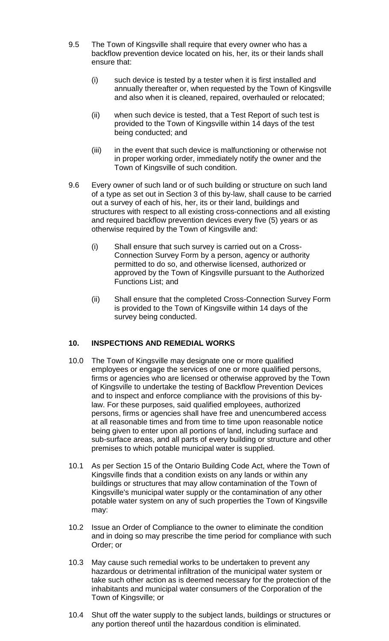- 9.5 The Town of Kingsville shall require that every owner who has a backflow prevention device located on his, her, its or their lands shall ensure that:
	- (i) such device is tested by a tester when it is first installed and annually thereafter or, when requested by the Town of Kingsville and also when it is cleaned, repaired, overhauled or relocated;
	- (ii) when such device is tested, that a Test Report of such test is provided to the Town of Kingsville within 14 days of the test being conducted; and
	- (iii) in the event that such device is malfunctioning or otherwise not in proper working order, immediately notify the owner and the Town of Kingsville of such condition.
- 9.6 Every owner of such land or of such building or structure on such land of a type as set out in Section 3 of this by-law, shall cause to be carried out a survey of each of his, her, its or their land, buildings and structures with respect to all existing cross-connections and all existing and required backflow prevention devices every five (5) years or as otherwise required by the Town of Kingsville and:
	- (i) Shall ensure that such survey is carried out on a Cross-Connection Survey Form by a person, agency or authority permitted to do so, and otherwise licensed, authorized or approved by the Town of Kingsville pursuant to the Authorized Functions List; and
	- (ii) Shall ensure that the completed Cross-Connection Survey Form is provided to the Town of Kingsville within 14 days of the survey being conducted.

### **10. INSPECTIONS AND REMEDIAL WORKS**

- 10.0 The Town of Kingsville may designate one or more qualified employees or engage the services of one or more qualified persons, firms or agencies who are licensed or otherwise approved by the Town of Kingsville to undertake the testing of Backflow Prevention Devices and to inspect and enforce compliance with the provisions of this bylaw. For these purposes, said qualified employees, authorized persons, firms or agencies shall have free and unencumbered access at all reasonable times and from time to time upon reasonable notice being given to enter upon all portions of land, including surface and sub-surface areas, and all parts of every building or structure and other premises to which potable municipal water is supplied.
- 10.1 As per Section 15 of the Ontario Building Code Act, where the Town of Kingsville finds that a condition exists on any lands or within any buildings or structures that may allow contamination of the Town of Kingsville's municipal water supply or the contamination of any other potable water system on any of such properties the Town of Kingsville may:
- 10.2 Issue an Order of Compliance to the owner to eliminate the condition and in doing so may prescribe the time period for compliance with such Order; or
- 10.3 May cause such remedial works to be undertaken to prevent any hazardous or detrimental infiltration of the municipal water system or take such other action as is deemed necessary for the protection of the inhabitants and municipal water consumers of the Corporation of the Town of Kingsville; or
- 10.4 Shut off the water supply to the subject lands, buildings or structures or any portion thereof until the hazardous condition is eliminated.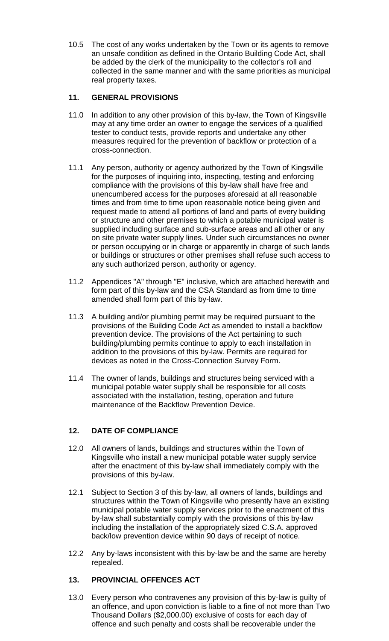10.5 The cost of any works undertaken by the Town or its agents to remove an unsafe condition as defined in the Ontario Building Code Act, shall be added by the clerk of the municipality to the collector's roll and collected in the same manner and with the same priorities as municipal real property taxes.

## **11. GENERAL PROVISIONS**

- 11.0 In addition to any other provision of this by-law, the Town of Kingsville may at any time order an owner to engage the services of a qualified tester to conduct tests, provide reports and undertake any other measures required for the prevention of backflow or protection of a cross-connection.
- 11.1 Any person, authority or agency authorized by the Town of Kingsville for the purposes of inquiring into, inspecting, testing and enforcing compliance with the provisions of this by-law shall have free and unencumbered access for the purposes aforesaid at all reasonable times and from time to time upon reasonable notice being given and request made to attend all portions of land and parts of every building or structure and other premises to which a potable municipal water is supplied including surface and sub-surface areas and all other or any on site private water supply lines. Under such circumstances no owner or person occupying or in charge or apparently in charge of such lands or buildings or structures or other premises shall refuse such access to any such authorized person, authority or agency.
- 11.2 Appendices "A" through "E" inclusive, which are attached herewith and form part of this by-law and the CSA Standard as from time to time amended shall form part of this by-law.
- 11.3 A building and/or plumbing permit may be required pursuant to the provisions of the Building Code Act as amended to install a backflow prevention device. The provisions of the Act pertaining to such building/plumbing permits continue to apply to each installation in addition to the provisions of this by-law. Permits are required for devices as noted in the Cross-Connection Survey Form.
- 11.4 The owner of lands, buildings and structures being serviced with a municipal potable water supply shall be responsible for all costs associated with the installation, testing, operation and future maintenance of the Backflow Prevention Device.

## **12. DATE OF COMPLIANCE**

- 12.0 All owners of lands, buildings and structures within the Town of Kingsville who install a new municipal potable water supply service after the enactment of this by-law shall immediately comply with the provisions of this by-law.
- 12.1 Subject to Section 3 of this by-law, all owners of lands, buildings and structures within the Town of Kingsville who presently have an existing municipal potable water supply services prior to the enactment of this by-law shall substantially comply with the provisions of this by-law including the installation of the appropriately sized C.S.A. approved back/low prevention device within 90 days of receipt of notice.
- 12.2 Any by-laws inconsistent with this by-law be and the same are hereby repealed.

### **13. PROVINCIAL OFFENCES ACT**

13.0 Every person who contravenes any provision of this by-law is guilty of an offence, and upon conviction is liable to a fine of not more than Two Thousand Dollars (\$2,000.00) exclusive of costs for each day of offence and such penalty and costs shall be recoverable under the